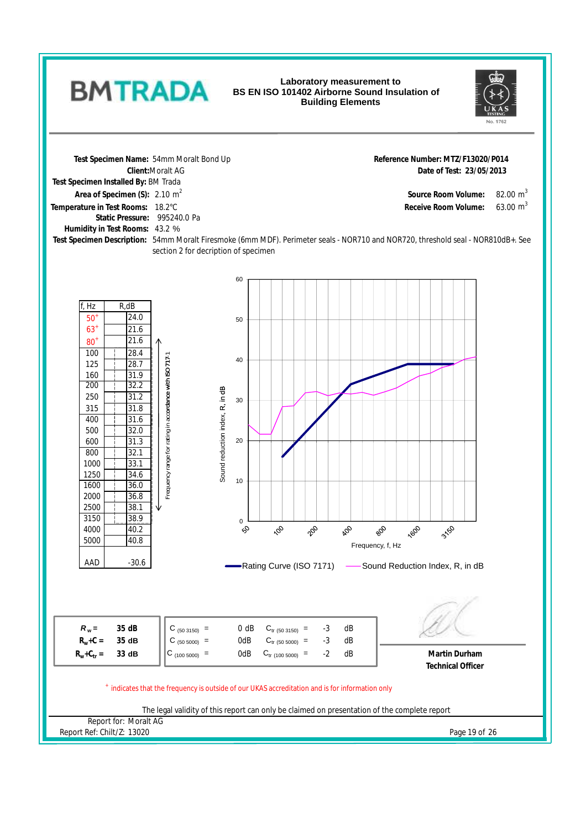